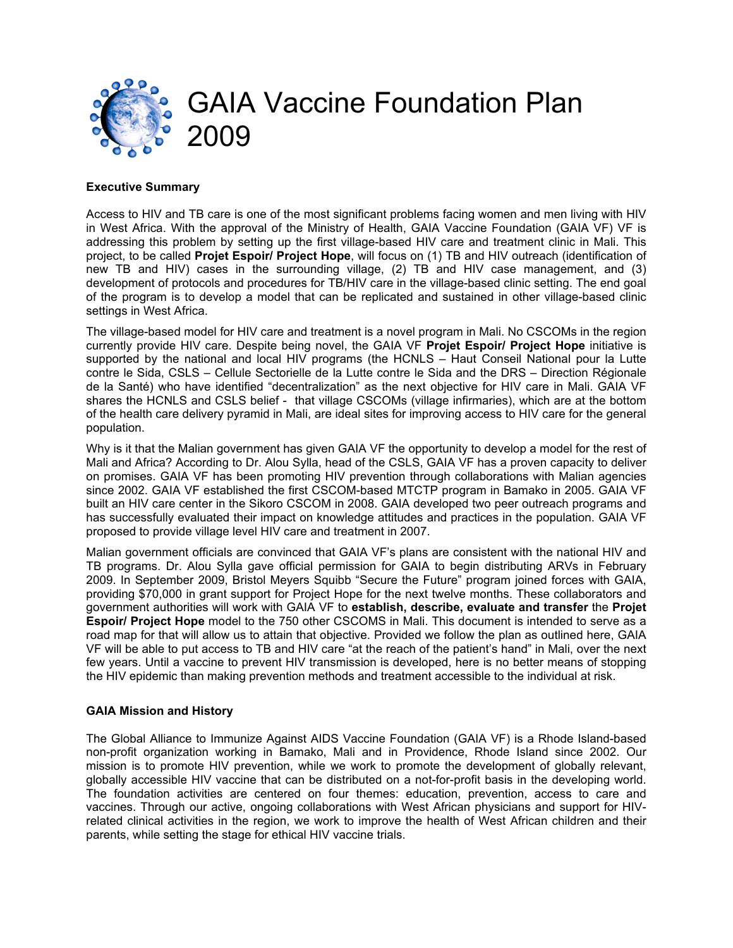

### **Executive Summary**

Access to HIV and TB care is one of the most significant problems facing women and men living with HIV in West Africa. With the approval of the Ministry of Health, GAIA Vaccine Foundation (GAIA VF) VF is addressing this problem by setting up the first village-based HIV care and treatment clinic in Mali. This project, to be called **Projet Espoir/ Project Hope**, will focus on (1) TB and HIV outreach (identification of new TB and HIV) cases in the surrounding village, (2) TB and HIV case management, and (3) development of protocols and procedures for TB/HIV care in the village-based clinic setting. The end goal of the program is to develop a model that can be replicated and sustained in other village-based clinic settings in West Africa.

The village-based model for HIV care and treatment is a novel program in Mali. No CSCOMs in the region currently provide HIV care. Despite being novel, the GAIA VF **Projet Espoir/ Project Hope** initiative is supported by the national and local HIV programs (the HCNLS – Haut Conseil National pour la Lutte contre le Sida, CSLS – Cellule Sectorielle de la Lutte contre le Sida and the DRS – Direction Régionale de la Santé) who have identified "decentralization" as the next objective for HIV care in Mali. GAIA VF shares the HCNLS and CSLS belief - that village CSCOMs (village infirmaries), which are at the bottom of the health care delivery pyramid in Mali, are ideal sites for improving access to HIV care for the general population.

Why is it that the Malian government has given GAIA VF the opportunity to develop a model for the rest of Mali and Africa? According to Dr. Alou Sylla, head of the CSLS, GAIA VF has a proven capacity to deliver on promises. GAIA VF has been promoting HIV prevention through collaborations with Malian agencies since 2002. GAIA VF established the first CSCOM-based MTCTP program in Bamako in 2005. GAIA VF built an HIV care center in the Sikoro CSCOM in 2008. GAIA developed two peer outreach programs and has successfully evaluated their impact on knowledge attitudes and practices in the population. GAIA VF proposed to provide village level HIV care and treatment in 2007.

Malian government officials are convinced that GAIA VF's plans are consistent with the national HIV and TB programs. Dr. Alou Sylla gave official permission for GAIA to begin distributing ARVs in February 2009. In September 2009, Bristol Meyers Squibb "Secure the Future" program joined forces with GAIA, providing \$70,000 in grant support for Project Hope for the next twelve months. These collaborators and government authorities will work with GAIA VF to **establish, describe, evaluate and transfer** the **Projet Espoir/ Project Hope** model to the 750 other CSCOMS in Mali. This document is intended to serve as a road map for that will allow us to attain that objective. Provided we follow the plan as outlined here, GAIA VF will be able to put access to TB and HIV care "at the reach of the patient's hand" in Mali, over the next few years. Until a vaccine to prevent HIV transmission is developed, here is no better means of stopping the HIV epidemic than making prevention methods and treatment accessible to the individual at risk.

# **GAIA Mission and History**

The Global Alliance to Immunize Against AIDS Vaccine Foundation (GAIA VF) is a Rhode Island-based non-profit organization working in Bamako, Mali and in Providence, Rhode Island since 2002. Our mission is to promote HIV prevention, while we work to promote the development of globally relevant, globally accessible HIV vaccine that can be distributed on a not-for-profit basis in the developing world. The foundation activities are centered on four themes: education, prevention, access to care and vaccines. Through our active, ongoing collaborations with West African physicians and support for HIVrelated clinical activities in the region, we work to improve the health of West African children and their parents, while setting the stage for ethical HIV vaccine trials.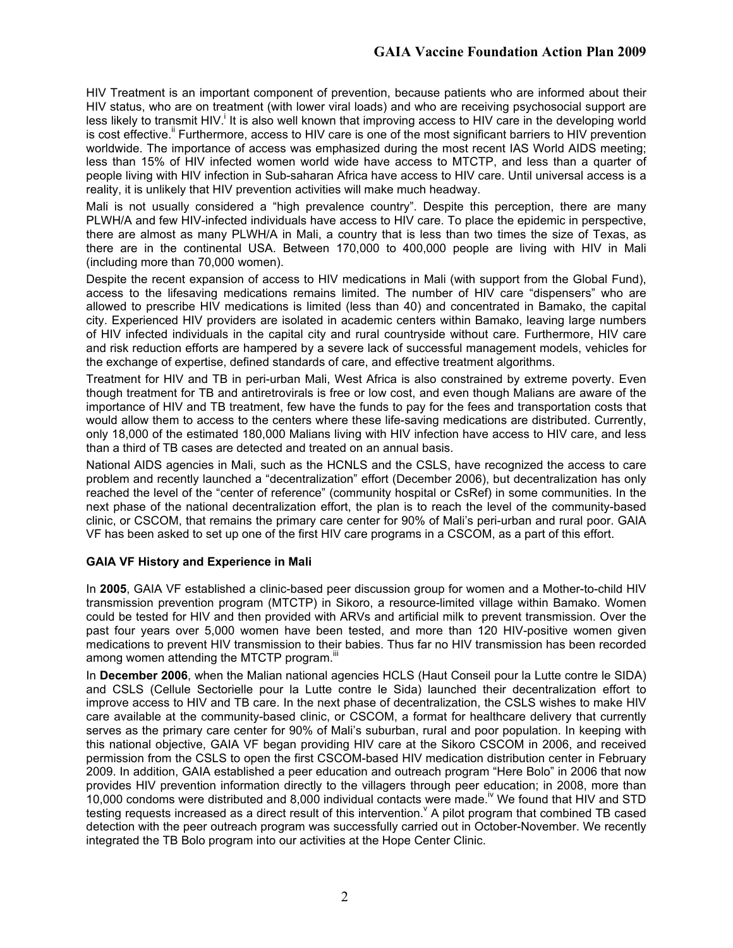HIV Treatment is an important component of prevention, because patients who are informed about their HIV status, who are on treatment (with lower viral loads) and who are receiving psychosocial support are less likely to transmit HIV.<sup>i</sup> It is also well known that improving access to HIV care in the developing world is cost effective." Furthermore, access to HIV care is one of the most significant barriers to HIV prevention worldwide. The importance of access was emphasized during the most recent IAS World AIDS meeting; less than 15% of HIV infected women world wide have access to MTCTP, and less than a quarter of people living with HIV infection in Sub-saharan Africa have access to HIV care. Until universal access is a reality, it is unlikely that HIV prevention activities will make much headway.

Mali is not usually considered a "high prevalence country". Despite this perception, there are many PLWH/A and few HIV-infected individuals have access to HIV care. To place the epidemic in perspective, there are almost as many PLWH/A in Mali, a country that is less than two times the size of Texas, as there are in the continental USA. Between 170,000 to 400,000 people are living with HIV in Mali (including more than 70,000 women).

Despite the recent expansion of access to HIV medications in Mali (with support from the Global Fund), access to the lifesaving medications remains limited. The number of HIV care "dispensers" who are allowed to prescribe HIV medications is limited (less than 40) and concentrated in Bamako, the capital city. Experienced HIV providers are isolated in academic centers within Bamako, leaving large numbers of HIV infected individuals in the capital city and rural countryside without care. Furthermore, HIV care and risk reduction efforts are hampered by a severe lack of successful management models, vehicles for the exchange of expertise, defined standards of care, and effective treatment algorithms.

Treatment for HIV and TB in peri-urban Mali, West Africa is also constrained by extreme poverty. Even though treatment for TB and antiretrovirals is free or low cost, and even though Malians are aware of the importance of HIV and TB treatment, few have the funds to pay for the fees and transportation costs that would allow them to access to the centers where these life-saving medications are distributed. Currently, only 18,000 of the estimated 180,000 Malians living with HIV infection have access to HIV care, and less than a third of TB cases are detected and treated on an annual basis.

National AIDS agencies in Mali, such as the HCNLS and the CSLS, have recognized the access to care problem and recently launched a "decentralization" effort (December 2006), but decentralization has only reached the level of the "center of reference" (community hospital or CsRef) in some communities. In the next phase of the national decentralization effort, the plan is to reach the level of the community-based clinic, or CSCOM, that remains the primary care center for 90% of Mali's peri-urban and rural poor. GAIA VF has been asked to set up one of the first HIV care programs in a CSCOM, as a part of this effort.

# **GAIA VF History and Experience in Mali**

In **2005**, GAIA VF established a clinic-based peer discussion group for women and a Mother-to-child HIV transmission prevention program (MTCTP) in Sikoro, a resource-limited village within Bamako. Women could be tested for HIV and then provided with ARVs and artificial milk to prevent transmission. Over the past four years over 5,000 women have been tested, and more than 120 HIV-positive women given medications to prevent HIV transmission to their babies. Thus far no HIV transmission has been recorded among women attending the MTCTP program.<sup>iii</sup>

In **December 2006**, when the Malian national agencies HCLS (Haut Conseil pour la Lutte contre le SIDA) and CSLS (Cellule Sectorielle pour la Lutte contre le Sida) launched their decentralization effort to improve access to HIV and TB care. In the next phase of decentralization, the CSLS wishes to make HIV care available at the community-based clinic, or CSCOM, a format for healthcare delivery that currently serves as the primary care center for 90% of Mali's suburban, rural and poor population. In keeping with this national objective, GAIA VF began providing HIV care at the Sikoro CSCOM in 2006, and received permission from the CSLS to open the first CSCOM-based HIV medication distribution center in February 2009. In addition, GAIA established a peer education and outreach program "Here Bolo" in 2006 that now provides HIV prevention information directly to the villagers through peer education; in 2008, more than 10,000 condoms were distributed and 8,000 individual contacts were made.<sup>iv</sup> We found that HIV and STD testing requests increased as a direct result of this intervention. <sup>V</sup> A pilot program that combined TB cased detection with the peer outreach program was successfully carried out in October-November. We recently integrated the TB Bolo program into our activities at the Hope Center Clinic.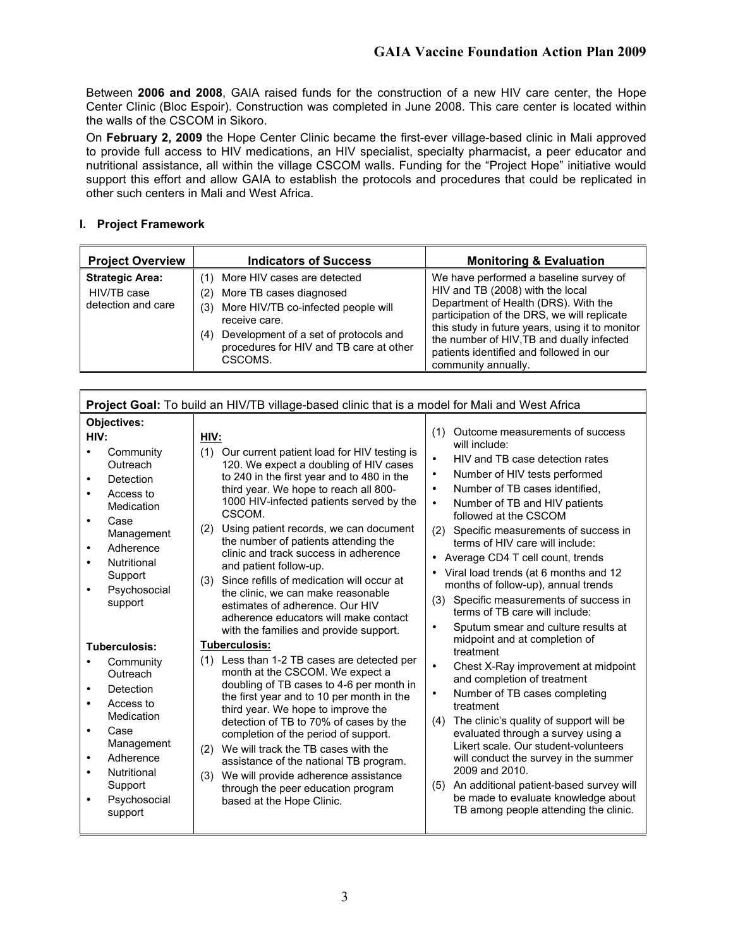Between **2006 and 2008**, GAIA raised funds for the construction of a new HIV care center, the Hope Center Clinic (Bloc Espoir). Construction was completed in June 2008. This care center is located within the walls of the CSCOM in Sikoro.

On **February 2, 2009** the Hope Center Clinic became the first-ever village-based clinic in Mali approved to provide full access to HIV medications, an HIV specialist, specialty pharmacist, a peer educator and nutritional assistance, all within the village CSCOM walls. Funding for the "Project Hope" initiative would support this effort and allow GAIA to establish the protocols and procedures that could be replicated in other such centers in Mali and West Africa.

# **I. Project Framework**

| <b>Project Overview</b>                                     | <b>Indicators of Success</b>                                                                                                                                                                                                       | <b>Monitoring &amp; Evaluation</b>                                                                                                                                                                                                                                                                                                  |
|-------------------------------------------------------------|------------------------------------------------------------------------------------------------------------------------------------------------------------------------------------------------------------------------------------|-------------------------------------------------------------------------------------------------------------------------------------------------------------------------------------------------------------------------------------------------------------------------------------------------------------------------------------|
| <b>Strategic Area:</b><br>HIV/TB case<br>detection and care | More HIV cases are detected<br>More TB cases diagnosed<br>(2)<br>More HIV/TB co-infected people will<br>(3)<br>receive care.<br>Development of a set of protocols and<br>(4)<br>procedures for HIV and TB care at other<br>CSCOMS. | We have performed a baseline survey of<br>HIV and TB (2008) with the local<br>Department of Health (DRS). With the<br>participation of the DRS, we will replicate<br>this study in future years, using it to monitor<br>the number of HIV, TB and dually infected<br>patients identified and followed in our<br>community annually. |

| Project Goal: To build an HIV/TB village-based clinic that is a model for Mali and West Africa                                                                                                                                    |                                                                                                                                                                                                                                                                                                                                                                                                                                                                                                                                                                                                                                                                                                                        |                                                                                                                                                                                                                                                                                                                                                                                                                                                                                                                                    |  |  |  |  |  |  |
|-----------------------------------------------------------------------------------------------------------------------------------------------------------------------------------------------------------------------------------|------------------------------------------------------------------------------------------------------------------------------------------------------------------------------------------------------------------------------------------------------------------------------------------------------------------------------------------------------------------------------------------------------------------------------------------------------------------------------------------------------------------------------------------------------------------------------------------------------------------------------------------------------------------------------------------------------------------------|------------------------------------------------------------------------------------------------------------------------------------------------------------------------------------------------------------------------------------------------------------------------------------------------------------------------------------------------------------------------------------------------------------------------------------------------------------------------------------------------------------------------------------|--|--|--|--|--|--|
| <b>Objectives:</b><br>HIV:<br>Community<br>Outreach<br>Detection<br>Access to<br>Medication<br>Case<br>Management<br>Adherence<br>$\bullet$<br>Nutritional<br>Support<br>Psychosocial<br>support                                  | (1)<br>HIV:<br>(1) Our current patient load for HIV testing is<br>$\bullet$<br>120. We expect a doubling of HIV cases<br>$\bullet$<br>to 240 in the first year and to 480 in the<br>third year. We hope to reach all 800-<br>$\bullet$<br>1000 HIV-infected patients served by the<br>$\bullet$<br>CSCOM.<br>Using patient records, we can document<br>(2)<br>the number of patients attending the<br>clinic and track success in adherence<br>$\bullet$<br>and patient follow-up.<br>Since refills of medication will occur at<br>(3)<br>the clinic, we can make reasonable<br>(3)<br>estimates of adherence. Our HIV<br>adherence educators will make contact<br>$\bullet$<br>with the families and provide support. | Outcome measurements of success<br>will include:<br>HIV and TB case detection rates<br>Number of HIV tests performed<br>Number of TB cases identified.<br>Number of TB and HIV patients<br>followed at the CSCOM<br>(2) Specific measurements of success in<br>terms of HIV care will include:<br>Average CD4 T cell count, trends<br>Viral load trends (at 6 months and 12<br>months of follow-up), annual trends<br>Specific measurements of success in<br>terms of TB care will include:<br>Sputum smear and culture results at |  |  |  |  |  |  |
| Tuberculosis:<br>Community<br>Outreach<br>Detection<br>$\bullet$<br>Access to<br>Medication<br>$\bullet$<br>Case<br>Management<br>Adherence<br>$\bullet$<br><b>Nutritional</b><br>Support<br>Psychosocial<br>$\bullet$<br>support | <b>Tuberculosis:</b><br>Less than 1-2 TB cases are detected per<br>(1)<br>$\bullet$<br>month at the CSCOM. We expect a<br>doubling of TB cases to 4-6 per month in<br>$\bullet$<br>the first year and to 10 per month in the<br>third year. We hope to improve the<br>detection of TB to 70% of cases by the<br>completion of the period of support.<br>We will track the TB cases with the<br>(2)<br>assistance of the national TB program.<br>We will provide adherence assistance<br>(3)<br>(5)<br>through the peer education program<br>based at the Hope Clinic.                                                                                                                                                  | midpoint and at completion of<br>treatment<br>Chest X-Ray improvement at midpoint<br>and completion of treatment<br>Number of TB cases completing<br>treatment<br>(4) The clinic's quality of support will be<br>evaluated through a survey using a<br>Likert scale. Our student-volunteers<br>will conduct the survey in the summer<br>2009 and 2010.<br>An additional patient-based survey will<br>be made to evaluate knowledge about<br>TB among people attending the clinic.                                                  |  |  |  |  |  |  |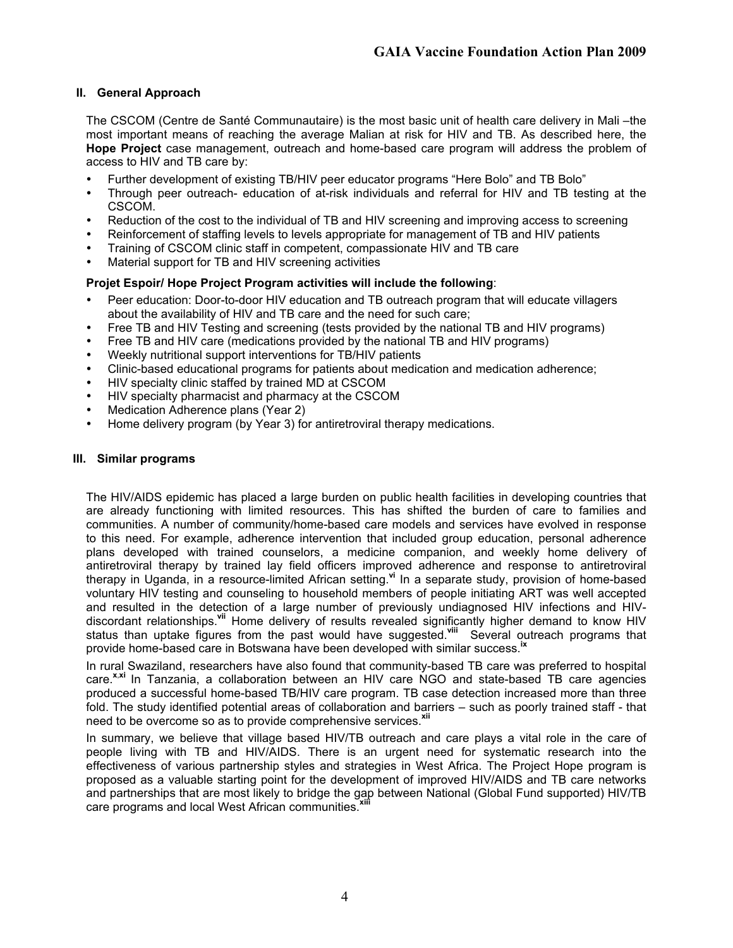# **II. General Approach**

The CSCOM (Centre de Santé Communautaire) is the most basic unit of health care delivery in Mali –the most important means of reaching the average Malian at risk for HIV and TB. As described here, the **Hope Project** case management, outreach and home-based care program will address the problem of access to HIV and TB care by:

- Further development of existing TB/HIV peer educator programs "Here Bolo" and TB Bolo"
- Through peer outreach- education of at-risk individuals and referral for HIV and TB testing at the CSCOM.
- Reduction of the cost to the individual of TB and HIV screening and improving access to screening
- Reinforcement of staffing levels to levels appropriate for management of TB and HIV patients
- Training of CSCOM clinic staff in competent, compassionate HIV and TB care
- Material support for TB and HIV screening activities

### **Projet Espoir/ Hope Project Program activities will include the following**:

- Peer education: Door-to-door HIV education and TB outreach program that will educate villagers about the availability of HIV and TB care and the need for such care;
- Free TB and HIV Testing and screening (tests provided by the national TB and HIV programs)
- Free TB and HIV care (medications provided by the national TB and HIV programs)
- Weekly nutritional support interventions for TB/HIV patients
- Clinic-based educational programs for patients about medication and medication adherence;
- HIV specialty clinic staffed by trained MD at CSCOM
- HIV specialty pharmacist and pharmacy at the CSCOM
- Medication Adherence plans (Year 2)
- Home delivery program (by Year 3) for antiretroviral therapy medications.

#### **III. Similar programs**

The HIV/AIDS epidemic has placed a large burden on public health facilities in developing countries that are already functioning with limited resources. This has shifted the burden of care to families and communities. A number of community/home-based care models and services have evolved in response to this need. For example, adherence intervention that included group education, personal adherence plans developed with trained counselors, a medicine companion, and weekly home delivery of antiretroviral therapy by trained lay field officers improved adherence and response to antiretroviral therapy in Uganda, in a resource-limited African setting. **vi** In a separate study, provision of home-based voluntary HIV testing and counseling to household members of people initiating ART was well accepted and resulted in the detection of a large number of previously undiagnosed HIV infections and HIVdiscordant relationships. **vii** Home delivery of results revealed significantly higher demand to know HIV status than uptake figures from the past would have suggested. **viii** Several outreach programs that provide home-based care in Botswana have been developed with similar success. **ix**

In rural Swaziland, researchers have also found that community-based TB care was preferred to hospital care. **<sup>x</sup>**,**xi** In Tanzania, a collaboration between an HIV care NGO and state-based TB care agencies produced a successful home-based TB/HIV care program. TB case detection increased more than three fold. The study identified potential areas of collaboration and barriers – such as poorly trained staff - that need to be overcome so as to provide comprehensive services. **xii**

In summary, we believe that village based HIV/TB outreach and care plays a vital role in the care of people living with TB and HIV/AIDS. There is an urgent need for systematic research into the effectiveness of various partnership styles and strategies in West Africa. The Project Hope program is proposed as a valuable starting point for the development of improved HIV/AIDS and TB care networks and partnerships that are most likely to bridge the gap between National (Global Fund supported) HIV/TB care programs and local West African communities. **xiii**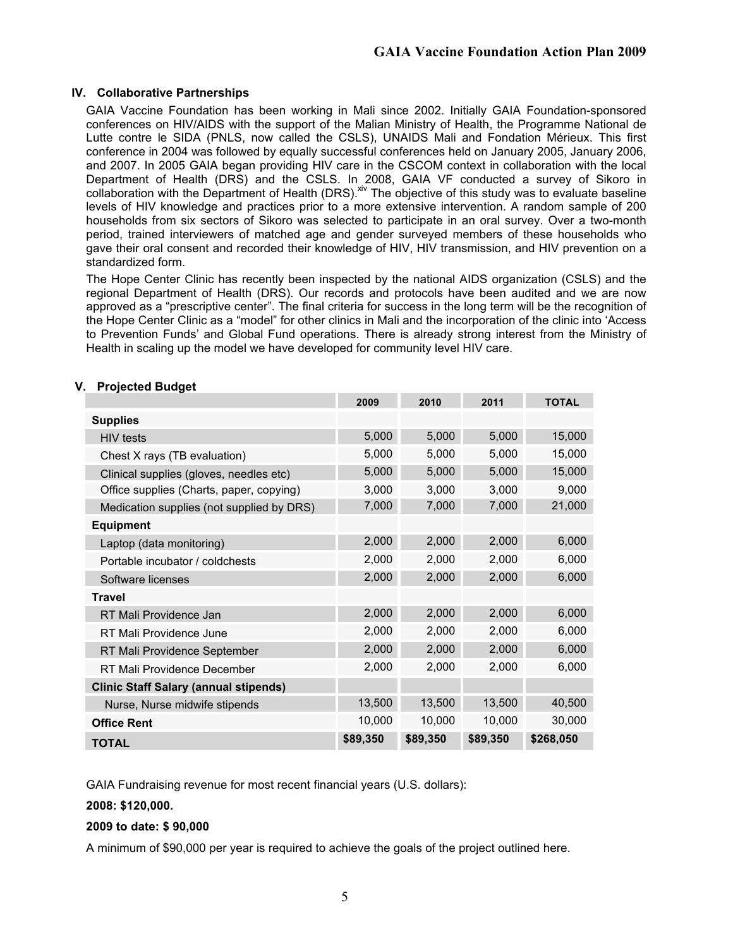# **IV. Collaborative Partnerships**

GAIA Vaccine Foundation has been working in Mali since 2002. Initially GAIA Foundation-sponsored conferences on HIV/AIDS with the support of the Malian Ministry of Health, the Programme National de Lutte contre le SIDA (PNLS, now called the CSLS), UNAIDS Mali and Fondation Mérieux. This first conference in 2004 was followed by equally successful conferences held on January 2005, January 2006, and 2007. In 2005 GAIA began providing HIV care in the CSCOM context in collaboration with the local Department of Health (DRS) and the CSLS. In 2008, GAIA VF conducted a survey of Sikoro in collaboration with the Department of Health (DRS). Xiv The objective of this study was to evaluate baseline levels of HIV knowledge and practices prior to a more extensive intervention. A random sample of 200 households from six sectors of Sikoro was selected to participate in an oral survey. Over a two-month period, trained interviewers of matched age and gender surveyed members of these households who gave their oral consent and recorded their knowledge of HIV, HIV transmission, and HIV prevention on a standardized form.

The Hope Center Clinic has recently been inspected by the national AIDS organization (CSLS) and the regional Department of Health (DRS). Our records and protocols have been audited and we are now approved as a "prescriptive center". The final criteria for success in the long term will be the recognition of the Hope Center Clinic as a "model" for other clinics in Mali and the incorporation of the clinic into 'Access to Prevention Funds' and Global Fund operations. There is already strong interest from the Ministry of Health in scaling up the model we have developed for community level HIV care.

|                                              | 2009     | 2010     | 2011     | <b>TOTAL</b> |
|----------------------------------------------|----------|----------|----------|--------------|
| <b>Supplies</b>                              |          |          |          |              |
| <b>HIV</b> tests                             | 5,000    | 5,000    | 5,000    | 15,000       |
| Chest X rays (TB evaluation)                 | 5,000    | 5,000    | 5,000    | 15,000       |
| Clinical supplies (gloves, needles etc)      | 5,000    | 5,000    | 5,000    | 15,000       |
| Office supplies (Charts, paper, copying)     | 3,000    | 3,000    | 3,000    | 9,000        |
| Medication supplies (not supplied by DRS)    | 7,000    | 7,000    | 7,000    | 21,000       |
| <b>Equipment</b>                             |          |          |          |              |
| Laptop (data monitoring)                     | 2,000    | 2,000    | 2,000    | 6,000        |
| Portable incubator / coldchests              | 2,000    | 2,000    | 2,000    | 6,000        |
| Software licenses                            | 2,000    | 2,000    | 2,000    | 6,000        |
| <b>Travel</b>                                |          |          |          |              |
| RT Mali Providence Jan                       | 2,000    | 2,000    | 2,000    | 6,000        |
| RT Mali Providence June                      | 2,000    | 2,000    | 2,000    | 6,000        |
| RT Mali Providence September                 | 2,000    | 2,000    | 2,000    | 6,000        |
| RT Mali Providence December                  | 2,000    | 2,000    | 2,000    | 6,000        |
| <b>Clinic Staff Salary (annual stipends)</b> |          |          |          |              |
| Nurse, Nurse midwife stipends                | 13,500   | 13,500   | 13,500   | 40,500       |
| <b>Office Rent</b>                           | 10,000   | 10,000   | 10,000   | 30,000       |
| <b>TOTAL</b>                                 | \$89,350 | \$89,350 | \$89,350 | \$268,050    |

#### **V. Projected Budget**

GAIA Fundraising revenue for most recent financial years (U.S. dollars):

**2008: \$120,000.**

# **2009 to date: \$ 90,000**

A minimum of \$90,000 per year is required to achieve the goals of the project outlined here.